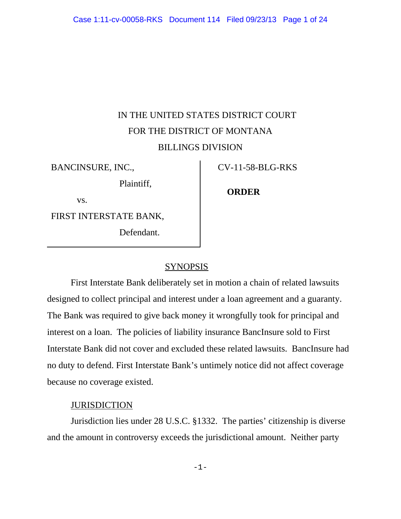# IN THE UNITED STATES DISTRICT COURT FOR THE DISTRICT OF MONTANA BILLINGS DIVISION

BANCINSURE, INC.,

Plaintiff,

CV-11-58-BLG-RKS

vs.

FIRST INTERSTATE BANK,

Defendant.

# **ORDER**

## SYNOPSIS

First Interstate Bank deliberately set in motion a chain of related lawsuits designed to collect principal and interest under a loan agreement and a guaranty. The Bank was required to give back money it wrongfully took for principal and interest on a loan. The policies of liability insurance BancInsure sold to First Interstate Bank did not cover and excluded these related lawsuits. BancInsure had no duty to defend. First Interstate Bank's untimely notice did not affect coverage because no coverage existed.

# **JURISDICTION**

Jurisdiction lies under 28 U.S.C. §1332. The parties' citizenship is diverse and the amount in controversy exceeds the jurisdictional amount. Neither party

-1-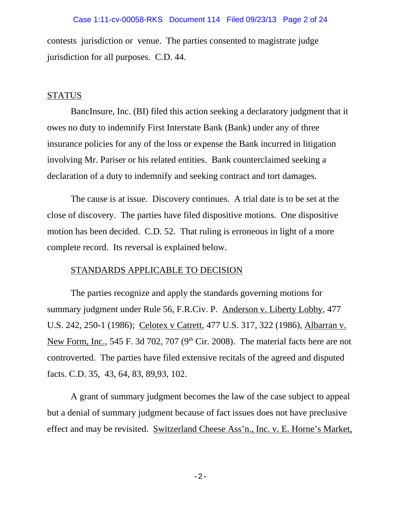contests jurisdiction or venue. The parties consented to magistrate judge jurisdiction for all purposes. C.D. 44.

## **STATUS**

BancInsure, Inc. (BI) filed this action seeking a declaratory judgment that it owes no duty to indemnify First Interstate Bank (Bank) under any of three insurance policies for any of the loss or expense the Bank incurred in litigation involving Mr. Pariser or his related entities. Bank counterclaimed seeking a declaration of a duty to indemnify and seeking contract and tort damages.

The cause is at issue. Discovery continues. A trial date is to be set at the close of discovery. The parties have filed dispositive motions. One dispositive motion has been decided. C.D. 52. That ruling is erroneous in light of a more complete record. Its reversal is explained below.

## STANDARDS APPLICABLE TO DECISION

The parties recognize and apply the standards governing motions for summary judgment under Rule 56, F.R.Civ. P. Anderson v. Liberty Lobby, 477 U.S. 242, 250-1 (1986); Celotex v Catrett, 477 U.S. 317, 322 (1986), Albarran v. New Form, Inc., 545 F. 3d 702, 707 ( $9<sup>th</sup>$  Cir. 2008). The material facts here are not controverted. The parties have filed extensive recitals of the agreed and disputed facts. C.D. 35, 43, 64, 83, 89,93, 102.

A grant of summary judgment becomes the law of the case subject to appeal but a denial of summary judgment because of fact issues does not have preclusive effect and may be revisited. Switzerland Cheese Ass'n., Inc. v. E. Horne's Market,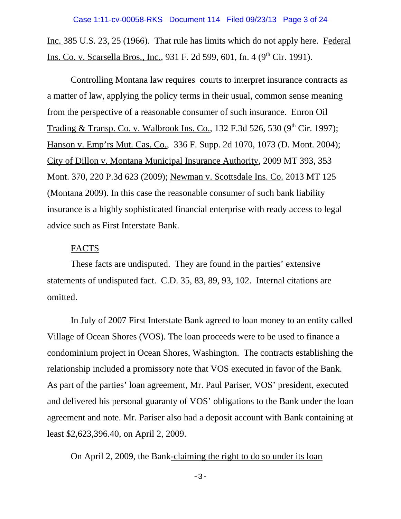Inc. 385 U.S. 23, 25 (1966). That rule has limits which do not apply here. Federal Ins. Co. v. Scarsella Bros., Inc., 931 F. 2d 599, 601, fn. 4 (9<sup>th</sup> Cir. 1991).

Controlling Montana law requires courts to interpret insurance contracts as a matter of law, applying the policy terms in their usual, common sense meaning from the perspective of a reasonable consumer of such insurance. Enron Oil Trading & Transp. Co. v. Walbrook Ins. Co., 132 F.3d 526, 530 (9<sup>th</sup> Cir. 1997); Hanson v. Emp'rs Mut. Cas. Co., 336 F. Supp. 2d 1070, 1073 (D. Mont. 2004); City of Dillon v. Montana Municipal Insurance Authority, 2009 MT 393, 353 Mont. 370, 220 P.3d 623 (2009); Newman v. Scottsdale Ins. Co. 2013 MT 125 (Montana 2009). In this case the reasonable consumer of such bank liability insurance is a highly sophisticated financial enterprise with ready access to legal advice such as First Interstate Bank.

# FACTS

These facts are undisputed. They are found in the parties' extensive statements of undisputed fact. C.D. 35, 83, 89, 93, 102. Internal citations are omitted.

In July of 2007 First Interstate Bank agreed to loan money to an entity called Village of Ocean Shores (VOS). The loan proceeds were to be used to finance a condominium project in Ocean Shores, Washington. The contracts establishing the relationship included a promissory note that VOS executed in favor of the Bank. As part of the parties' loan agreement, Mr. Paul Pariser, VOS' president, executed and delivered his personal guaranty of VOS' obligations to the Bank under the loan agreement and note. Mr. Pariser also had a deposit account with Bank containing at least \$2,623,396.40, on April 2, 2009.

On April 2, 2009, the Bank-claiming the right to do so under its loan

-3-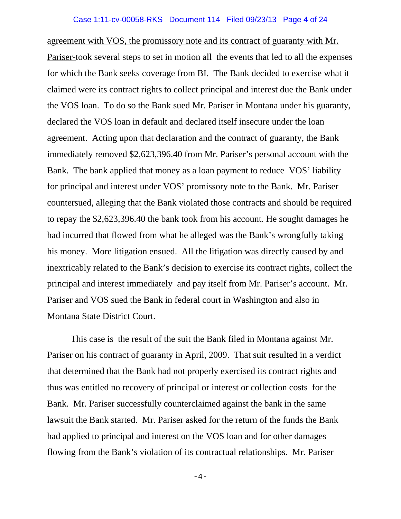## Case 1:11-cv-00058-RKS Document 114 Filed 09/23/13 Page 4 of 24

agreement with VOS, the promissory note and its contract of guaranty with Mr. Pariser-took several steps to set in motion all the events that led to all the expenses for which the Bank seeks coverage from BI. The Bank decided to exercise what it claimed were its contract rights to collect principal and interest due the Bank under the VOS loan. To do so the Bank sued Mr. Pariser in Montana under his guaranty, declared the VOS loan in default and declared itself insecure under the loan agreement. Acting upon that declaration and the contract of guaranty, the Bank immediately removed \$2,623,396.40 from Mr. Pariser's personal account with the Bank. The bank applied that money as a loan payment to reduce VOS' liability for principal and interest under VOS' promissory note to the Bank. Mr. Pariser countersued, alleging that the Bank violated those contracts and should be required to repay the \$2,623,396.40 the bank took from his account. He sought damages he had incurred that flowed from what he alleged was the Bank's wrongfully taking his money. More litigation ensued. All the litigation was directly caused by and inextricably related to the Bank's decision to exercise its contract rights, collect the principal and interest immediately and pay itself from Mr. Pariser's account. Mr. Pariser and VOS sued the Bank in federal court in Washington and also in Montana State District Court.

This case is the result of the suit the Bank filed in Montana against Mr. Pariser on his contract of guaranty in April, 2009. That suit resulted in a verdict that determined that the Bank had not properly exercised its contract rights and thus was entitled no recovery of principal or interest or collection costs for the Bank. Mr. Pariser successfully counterclaimed against the bank in the same lawsuit the Bank started. Mr. Pariser asked for the return of the funds the Bank had applied to principal and interest on the VOS loan and for other damages flowing from the Bank's violation of its contractual relationships. Mr. Pariser

 $-4-$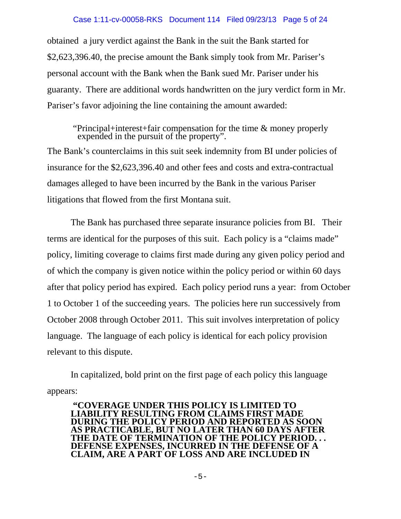## Case 1:11-cv-00058-RKS Document 114 Filed 09/23/13 Page 5 of 24

obtained a jury verdict against the Bank in the suit the Bank started for \$2,623,396.40, the precise amount the Bank simply took from Mr. Pariser's personal account with the Bank when the Bank sued Mr. Pariser under his guaranty. There are additional words handwritten on the jury verdict form in Mr. Pariser's favor adjoining the line containing the amount awarded:

 "Principal+interest+fair compensation for the time & money properly expended in the pursuit of the property". The Bank's counterclaims in this suit seek indemnity from BI under policies of insurance for the \$2,623,396.40 and other fees and costs and extra-contractual damages alleged to have been incurred by the Bank in the various Pariser litigations that flowed from the first Montana suit.

The Bank has purchased three separate insurance policies from BI. Their terms are identical for the purposes of this suit. Each policy is a "claims made" policy, limiting coverage to claims first made during any given policy period and of which the company is given notice within the policy period or within 60 days after that policy period has expired. Each policy period runs a year: from October 1 to October 1 of the succeeding years. The policies here run successively from October 2008 through October 2011. This suit involves interpretation of policy language. The language of each policy is identical for each policy provision relevant to this dispute.

In capitalized, bold print on the first page of each policy this language appears:

**"COVERAGE UNDER THIS POLICY IS LIMITED TO LIABILITY RESULTING FROM CLAIMS FIRST MADE DURING THE POLICY PERIOD AND REPORTED AS SOON AS PRACTICABLE, BUT NO LATER THAN 60 DAYS AFTER THE DATE OF TERMINATION OF THE POLICY PERIOD. . . DEFENSE EXPENSES, INCURRED IN THE DEFENSE OF A CLAIM, ARE A PART OF LOSS AND ARE INCLUDED IN**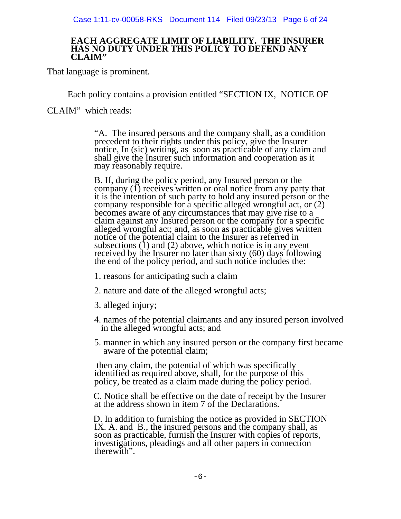## **EACH AGGREGATE LIMIT OF LIABILITY. THE INSURER HAS NO DUTY UNDER THIS POLICY TO DEFEND ANY CLAIM"**

That language is prominent.

Each policy contains a provision entitled "SECTION IX, NOTICE OF

CLAIM" which reads:

"A. The insured persons and the company shall, as a condition precedent to their rights under this policy, give the Insurer notice, In (sic) writing, as soon as practicable of any claim and shall give the Insurer such information and cooperation as it may reasonably require.

B. If, during the policy period, any Insured person or the company (1) receives written or oral notice from any party that it is the intention of such party to hold any insured person or the company responsible for a specific alleged wrongful act, or (2) becomes aware of any circumstances that may give rise to a claim against any Insured person or the company for a specific alleged wrongful act; and, as soon as practicable gives written notice of the potential claim to the Insurer as referred in subsections  $(1)$  and  $(2)$  above, which notice is in any event received by the Insurer no later than sixty (60) days following the end of the policy period, and such notice includes the:

- 1. reasons for anticipating such a claim
- 2. nature and date of the alleged wrongful acts;
- 3. alleged injury;
- 4. names of the potential claimants and any insured person involved in the alleged wrongful acts; and
- 5. manner in which any insured person or the company first became aware of the potential claim;

 then any claim, the potential of which was specifically identified as required above, shall, for the purpose of this policy, be treated as a claim made during the policy period.

C. Notice shall be effective on the date of receipt by the Insurer at the address shown in item 7 of the Declarations.

 D. In addition to furnishing the notice as provided in SECTION IX. A. and B., the insured persons and the company shall, as soon as practicable, furnish the Insurer with copies of reports, investigations, pleadings and all other papers in connection therewith".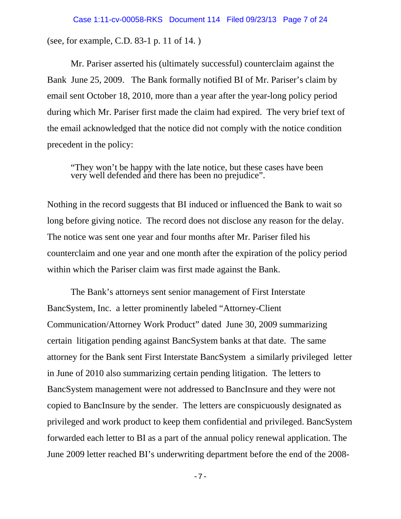(see, for example, C.D. 83-1 p. 11 of 14. )

Mr. Pariser asserted his (ultimately successful) counterclaim against the Bank June 25, 2009. The Bank formally notified BI of Mr. Pariser's claim by email sent October 18, 2010, more than a year after the year-long policy period during which Mr. Pariser first made the claim had expired. The very brief text of the email acknowledged that the notice did not comply with the notice condition precedent in the policy:

"They won't be happy with the late notice, but these cases have been very well defended and there has been no prejudice".

Nothing in the record suggests that BI induced or influenced the Bank to wait so long before giving notice. The record does not disclose any reason for the delay. The notice was sent one year and four months after Mr. Pariser filed his counterclaim and one year and one month after the expiration of the policy period within which the Pariser claim was first made against the Bank.

The Bank's attorneys sent senior management of First Interstate BancSystem, Inc. a letter prominently labeled "Attorney-Client Communication/Attorney Work Product" dated June 30, 2009 summarizing certain litigation pending against BancSystem banks at that date. The same attorney for the Bank sent First Interstate BancSystem a similarly privileged letter in June of 2010 also summarizing certain pending litigation. The letters to BancSystem management were not addressed to BancInsure and they were not copied to BancInsure by the sender. The letters are conspicuously designated as privileged and work product to keep them confidential and privileged. BancSystem forwarded each letter to BI as a part of the annual policy renewal application. The June 2009 letter reached BI's underwriting department before the end of the 2008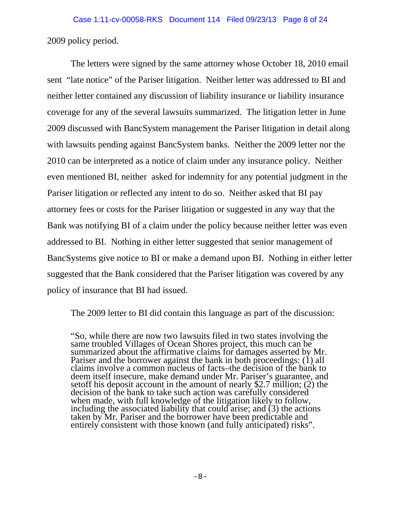2009 policy period.

The letters were signed by the same attorney whose October 18, 2010 email sent "late notice" of the Pariser litigation. Neither letter was addressed to BI and neither letter contained any discussion of liability insurance or liability insurance coverage for any of the several lawsuits summarized. The litigation letter in June 2009 discussed with BancSystem management the Pariser litigation in detail along with lawsuits pending against BancSystem banks. Neither the 2009 letter nor the 2010 can be interpreted as a notice of claim under any insurance policy. Neither even mentioned BI, neither asked for indemnity for any potential judgment in the Pariser litigation or reflected any intent to do so. Neither asked that BI pay attorney fees or costs for the Pariser litigation or suggested in any way that the Bank was notifying BI of a claim under the policy because neither letter was even addressed to BI. Nothing in either letter suggested that senior management of BancSystems give notice to BI or make a demand upon BI. Nothing in either letter suggested that the Bank considered that the Pariser litigation was covered by any policy of insurance that BI had issued.

The 2009 letter to BI did contain this language as part of the discussion:

"So, while there are now two lawsuits filed in two states involving the same troubled Villages of Ocean Shores project, this much can be summarized about the affirmative claims for damages asserted by Mr. Pariser and the borrower against the bank in both proceedings: (1) all claims involve a common nucleus of facts–the decision of the bank to deem itself insecure, make demand under Mr. Pariser's guarantee, and setoff his deposit account in the amount of nearly \$2.7 million; (2) the decision of the bank to take such action was carefully considered when made, with full knowledge of the litigation likely to follow, including the associated liability that could arise; and (3) the actions taken by Mr. Pariser and the borrower have been predictable and entirely consistent with those known (and fully anticipated) risks".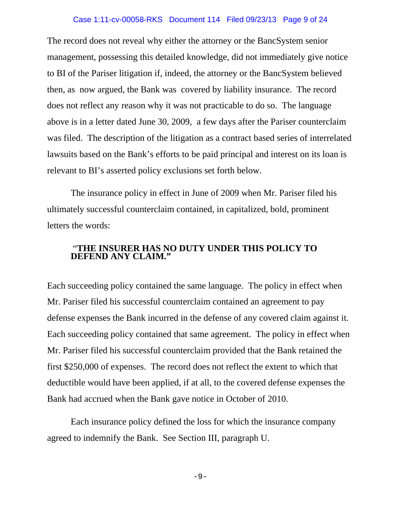## Case 1:11-cv-00058-RKS Document 114 Filed 09/23/13 Page 9 of 24

The record does not reveal why either the attorney or the BancSystem senior management, possessing this detailed knowledge, did not immediately give notice to BI of the Pariser litigation if, indeed, the attorney or the BancSystem believed then, as now argued, the Bank was covered by liability insurance. The record does not reflect any reason why it was not practicable to do so. The language above is in a letter dated June 30, 2009, a few days after the Pariser counterclaim was filed. The description of the litigation as a contract based series of interrelated lawsuits based on the Bank's efforts to be paid principal and interest on its loan is relevant to BI's asserted policy exclusions set forth below.

The insurance policy in effect in June of 2009 when Mr. Pariser filed his ultimately successful counterclaim contained, in capitalized, bold, prominent letters the words:

# "**THE INSURER HAS NO DUTY UNDER THIS POLICY TO DEFEND ANY CLAIM."**

Each succeeding policy contained the same language. The policy in effect when Mr. Pariser filed his successful counterclaim contained an agreement to pay defense expenses the Bank incurred in the defense of any covered claim against it. Each succeeding policy contained that same agreement. The policy in effect when Mr. Pariser filed his successful counterclaim provided that the Bank retained the first \$250,000 of expenses. The record does not reflect the extent to which that deductible would have been applied, if at all, to the covered defense expenses the Bank had accrued when the Bank gave notice in October of 2010.

Each insurance policy defined the loss for which the insurance company agreed to indemnify the Bank. See Section III, paragraph U.

 $-9-$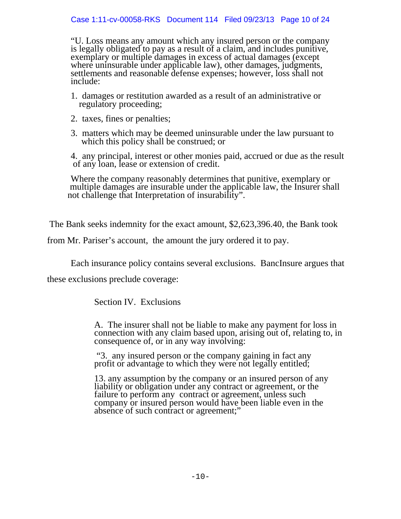"U. Loss means any amount which any insured person or the company is legally obligated to pay as a result of a claim, and includes punitive, exemplary or multiple damages in excess of actual damages (except where uninsurable under applicable law), other damages, judgments, settlements and reasonable defense expenses; however, loss shall not include:

- 1. damages or restitution awarded as a result of an administrative or regulatory proceeding;
- 2. taxes, fines or penalties;
- 3. matters which may be deemed uninsurable under the law pursuant to which this policy shall be construed; or

4. any principal, interest or other monies paid, accrued or due as the result of any loan, lease or extension of credit.

Where the company reasonably determines that punitive, exemplary or multiple damages are insurable under the applicable law, the Insurer shall not challenge that Interpretation of insurability".

The Bank seeks indemnity for the exact amount, \$2,623,396.40, the Bank took

from Mr. Pariser's account, the amount the jury ordered it to pay.

Each insurance policy contains several exclusions. BancInsure argues that

these exclusions preclude coverage:

Section IV. Exclusions

A. The insurer shall not be liable to make any payment for loss in connection with any claim based upon, arising out of, relating to, in consequence of, or in any way involving:

 "3. any insured person or the company gaining in fact any profit or advantage to which they were not legally entitled;

13. any assumption by the company or an insured person of any liability or obligation under any contract or agreement, or the failure to perform any contract or agreement, unless such company or insured person would have been liable even in the absence of such contract or agreement;"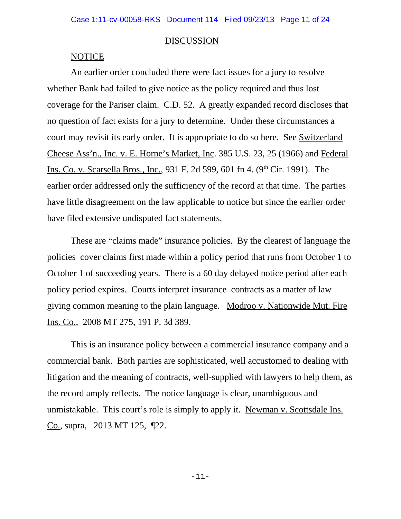#### **DISCUSSION**

#### **NOTICE**

An earlier order concluded there were fact issues for a jury to resolve whether Bank had failed to give notice as the policy required and thus lost coverage for the Pariser claim. C.D. 52. A greatly expanded record discloses that no question of fact exists for a jury to determine. Under these circumstances a court may revisit its early order. It is appropriate to do so here. See Switzerland Cheese Ass'n., Inc. v. E. Horne's Market, Inc. 385 U.S. 23, 25 (1966) and Federal Ins. Co. v. Scarsella Bros., Inc., 931 F. 2d 599, 601 fn 4. (9<sup>th</sup> Cir. 1991). The earlier order addressed only the sufficiency of the record at that time. The parties have little disagreement on the law applicable to notice but since the earlier order have filed extensive undisputed fact statements.

These are "claims made" insurance policies. By the clearest of language the policies cover claims first made within a policy period that runs from October 1 to October 1 of succeeding years. There is a 60 day delayed notice period after each policy period expires. Courts interpret insurance contracts as a matter of law giving common meaning to the plain language. Modroo v. Nationwide Mut. Fire Ins. Co., 2008 MT 275, 191 P. 3d 389.

This is an insurance policy between a commercial insurance company and a commercial bank. Both parties are sophisticated, well accustomed to dealing with litigation and the meaning of contracts, well-supplied with lawyers to help them, as the record amply reflects. The notice language is clear, unambiguous and unmistakable. This court's role is simply to apply it. Newman v. Scottsdale Ins. Co., supra, 2013 MT 125, ¶22.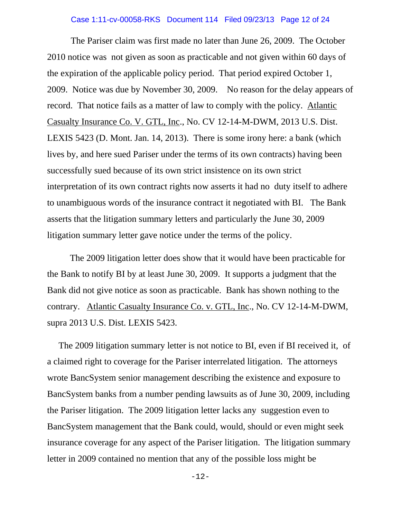#### Case 1:11-cv-00058-RKS Document 114 Filed 09/23/13 Page 12 of 24

The Pariser claim was first made no later than June 26, 2009. The October 2010 notice was not given as soon as practicable and not given within 60 days of the expiration of the applicable policy period. That period expired October 1, 2009. Notice was due by November 30, 2009. No reason for the delay appears of record. That notice fails as a matter of law to comply with the policy. Atlantic Casualty Insurance Co. V. GTL, Inc., No. CV 12-14-M-DWM, 2013 U.S. Dist. LEXIS 5423 (D. Mont. Jan. 14, 2013). There is some irony here: a bank (which lives by, and here sued Pariser under the terms of its own contracts) having been successfully sued because of its own strict insistence on its own strict interpretation of its own contract rights now asserts it had no duty itself to adhere to unambiguous words of the insurance contract it negotiated with BI. The Bank asserts that the litigation summary letters and particularly the June 30, 2009 litigation summary letter gave notice under the terms of the policy.

 The 2009 litigation letter does show that it would have been practicable for the Bank to notify BI by at least June 30, 2009. It supports a judgment that the Bank did not give notice as soon as practicable. Bank has shown nothing to the contrary. Atlantic Casualty Insurance Co. v. GTL, Inc., No. CV 12-14-M-DWM, supra 2013 U.S. Dist. LEXIS 5423.

 The 2009 litigation summary letter is not notice to BI, even if BI received it, of a claimed right to coverage for the Pariser interrelated litigation. The attorneys wrote BancSystem senior management describing the existence and exposure to BancSystem banks from a number pending lawsuits as of June 30, 2009, including the Pariser litigation. The 2009 litigation letter lacks any suggestion even to BancSystem management that the Bank could, would, should or even might seek insurance coverage for any aspect of the Pariser litigation. The litigation summary letter in 2009 contained no mention that any of the possible loss might be

-12-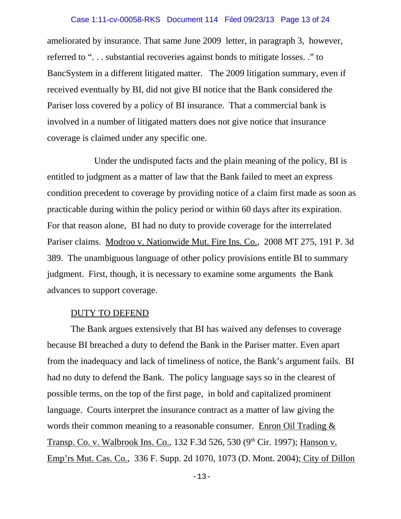#### Case 1:11-cv-00058-RKS Document 114 Filed 09/23/13 Page 13 of 24

ameliorated by insurance. That same June 2009 letter, in paragraph 3, however, referred to ". . . substantial recoveries against bonds to mitigate losses. ." to BancSystem in a different litigated matter. The 2009 litigation summary, even if received eventually by BI, did not give BI notice that the Bank considered the Pariser loss covered by a policy of BI insurance. That a commercial bank is involved in a number of litigated matters does not give notice that insurance coverage is claimed under any specific one.

Under the undisputed facts and the plain meaning of the policy, BI is entitled to judgment as a matter of law that the Bank failed to meet an express condition precedent to coverage by providing notice of a claim first made as soon as practicable during within the policy period or within 60 days after its expiration. For that reason alone, BI had no duty to provide coverage for the interrelated Pariser claims. Modroo v. Nationwide Mut. Fire Ins. Co., 2008 MT 275, 191 P. 3d 389. The unambiguous language of other policy provisions entitle BI to summary judgment. First, though, it is necessary to examine some arguments the Bank advances to support coverage.

#### DUTY TO DEFEND

The Bank argues extensively that BI has waived any defenses to coverage because BI breached a duty to defend the Bank in the Pariser matter. Even apart from the inadequacy and lack of timeliness of notice, the Bank's argument fails. BI had no duty to defend the Bank. The policy language says so in the clearest of possible terms, on the top of the first page, in bold and capitalized prominent language. Courts interpret the insurance contract as a matter of law giving the words their common meaning to a reasonable consumer. Enron Oil Trading & Transp. Co. v. Walbrook Ins. Co., 132 F.3d 526, 530 (9<sup>th</sup> Cir. 1997); Hanson v. Emp'rs Mut. Cas. Co., 336 F. Supp. 2d 1070, 1073 (D. Mont. 2004); City of Dillon

-13-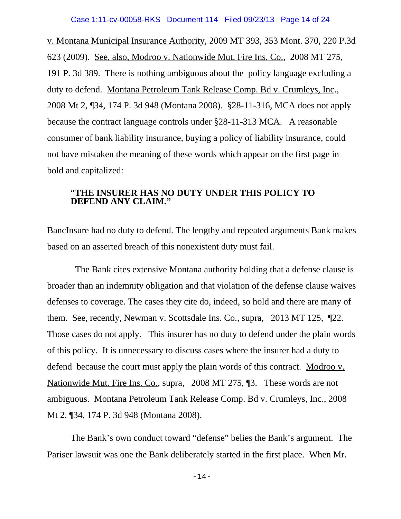## Case 1:11-cv-00058-RKS Document 114 Filed 09/23/13 Page 14 of 24

v. Montana Municipal Insurance Authority, 2009 MT 393, 353 Mont. 370, 220 P.3d 623 (2009). See, also, Modroo v. Nationwide Mut. Fire Ins. Co., 2008 MT 275, 191 P. 3d 389. There is nothing ambiguous about the policy language excluding a duty to defend. Montana Petroleum Tank Release Comp. Bd v. Crumleys, Inc., 2008 Mt 2, ¶34, 174 P. 3d 948 (Montana 2008). §28-11-316, MCA does not apply because the contract language controls under §28-11-313 MCA. A reasonable consumer of bank liability insurance, buying a policy of liability insurance, could not have mistaken the meaning of these words which appear on the first page in bold and capitalized:

## "**THE INSURER HAS NO DUTY UNDER THIS POLICY TO DEFEND ANY CLAIM."**

BancInsure had no duty to defend. The lengthy and repeated arguments Bank makes based on an asserted breach of this nonexistent duty must fail.

 The Bank cites extensive Montana authority holding that a defense clause is broader than an indemnity obligation and that violation of the defense clause waives defenses to coverage. The cases they cite do, indeed, so hold and there are many of them. See, recently, Newman v. Scottsdale Ins. Co., supra, 2013 MT 125, ¶22. Those cases do not apply. This insurer has no duty to defend under the plain words of this policy. It is unnecessary to discuss cases where the insurer had a duty to defend because the court must apply the plain words of this contract. Modroo v. Nationwide Mut. Fire Ins. Co., supra, 2008 MT 275, 13. These words are not ambiguous. Montana Petroleum Tank Release Comp. Bd v. Crumleys, Inc., 2008 Mt 2, ¶34, 174 P. 3d 948 (Montana 2008).

The Bank's own conduct toward "defense" belies the Bank's argument. The Pariser lawsuit was one the Bank deliberately started in the first place. When Mr.

-14-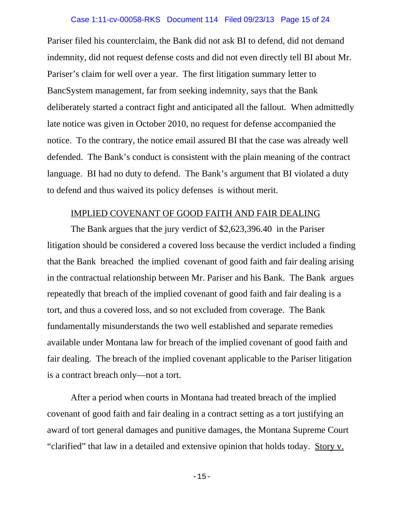# Case 1:11-cv-00058-RKS Document 114 Filed 09/23/13 Page 15 of 24

Pariser filed his counterclaim, the Bank did not ask BI to defend, did not demand indemnity, did not request defense costs and did not even directly tell BI about Mr. Pariser's claim for well over a year. The first litigation summary letter to BancSystem management, far from seeking indemnity, says that the Bank deliberately started a contract fight and anticipated all the fallout. When admittedly late notice was given in October 2010, no request for defense accompanied the notice. To the contrary, the notice email assured BI that the case was already well defended. The Bank's conduct is consistent with the plain meaning of the contract language. BI had no duty to defend. The Bank's argument that BI violated a duty to defend and thus waived its policy defenses is without merit.

## IMPLIED COVENANT OF GOOD FAITH AND FAIR DEALING

The Bank argues that the jury verdict of \$2,623,396.40 in the Pariser litigation should be considered a covered loss because the verdict included a finding that the Bank breached the implied covenant of good faith and fair dealing arising in the contractual relationship between Mr. Pariser and his Bank. The Bank argues repeatedly that breach of the implied covenant of good faith and fair dealing is a tort, and thus a covered loss, and so not excluded from coverage. The Bank fundamentally misunderstands the two well established and separate remedies available under Montana law for breach of the implied covenant of good faith and fair dealing. The breach of the implied covenant applicable to the Pariser litigation is a contract breach only—not a tort.

After a period when courts in Montana had treated breach of the implied covenant of good faith and fair dealing in a contract setting as a tort justifying an award of tort general damages and punitive damages, the Montana Supreme Court "clarified" that law in a detailed and extensive opinion that holds today. Story v.

 $-15-$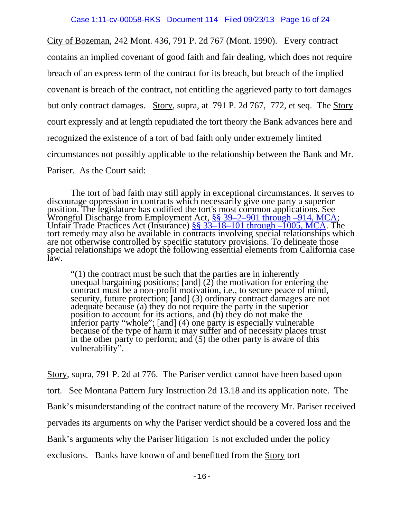City of Bozeman, 242 Mont. 436, 791 P. 2d 767 (Mont. 1990). Every contract contains an implied covenant of good faith and fair dealing, which does not require breach of an express term of the contract for its breach, but breach of the implied covenant is breach of the contract, not entitling the aggrieved party to tort damages but only contract damages. Story, supra, at 791 P. 2d 767, 772, et seq. The Story court expressly and at length repudiated the tort theory the Bank advances here and recognized the existence of a tort of bad faith only under extremely limited circumstances not possibly applicable to the relationship between the Bank and Mr. Pariser. As the Court said:

The tort of bad faith may still apply in exceptional circumstances. It serves to discourage oppression in contracts which necessarily give one party a superior position. The legislature has codified the tort's most common Wrongful Discharge from Employment Act, §§ 39–2–901 through –914, MCA; Unfair Trade Practices Act (Insurance) §§ 33–18–101 through –1005, MCA. The tort remedy may also be available in contracts involving special relationships which are not otherwise controlled by specific statutory provisions. To delineate those special relationships we adopt the following essential elements from California case law.

"(1) the contract must be such that the parties are in inherently unequal bargaining positions;  $[and]$  (2) the motivation for entering the contract must be a non-profit motivation, i.e., to secure peace of mind, security, future protection; [and] (3) ordinary contract damages are not adequate because (a) they do not require the party in the superior position to account for its actions, and (b) they do not make the inferior party "whole"; [and] (4) one party is especially vulnerable because of the type of harm it may suffer and of necessity places trust in the other party to perform; and (5) the other party is aware of this vulnerability".

Story, supra, 791 P. 2d at 776. The Pariser verdict cannot have been based upon tort. See Montana Pattern Jury Instruction 2d 13.18 and its application note. The Bank's misunderstanding of the contract nature of the recovery Mr. Pariser received pervades its arguments on why the Pariser verdict should be a covered loss and the Bank's arguments why the Pariser litigation is not excluded under the policy exclusions. Banks have known of and benefitted from the Story tort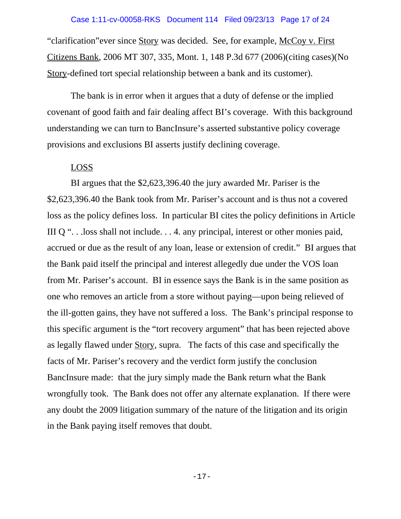"clarification" ever since Story was decided. See, for example, McCoy v. First Citizens Bank, 2006 MT 307, 335, Mont. 1, 148 P.3d 677 (2006)(citing cases)(No Story-defined tort special relationship between a bank and its customer).

The bank is in error when it argues that a duty of defense or the implied covenant of good faith and fair dealing affect BI's coverage. With this background understanding we can turn to BancInsure's asserted substantive policy coverage provisions and exclusions BI asserts justify declining coverage.

## LOSS

BI argues that the \$2,623,396.40 the jury awarded Mr. Pariser is the \$2,623,396.40 the Bank took from Mr. Pariser's account and is thus not a covered loss as the policy defines loss. In particular BI cites the policy definitions in Article III Q ". . .loss shall not include. . . 4. any principal, interest or other monies paid, accrued or due as the result of any loan, lease or extension of credit." BI argues that the Bank paid itself the principal and interest allegedly due under the VOS loan from Mr. Pariser's account. BI in essence says the Bank is in the same position as one who removes an article from a store without paying—upon being relieved of the ill-gotten gains, they have not suffered a loss. The Bank's principal response to this specific argument is the "tort recovery argument" that has been rejected above as legally flawed under Story, supra. The facts of this case and specifically the facts of Mr. Pariser's recovery and the verdict form justify the conclusion BancInsure made: that the jury simply made the Bank return what the Bank wrongfully took. The Bank does not offer any alternate explanation. If there were any doubt the 2009 litigation summary of the nature of the litigation and its origin in the Bank paying itself removes that doubt.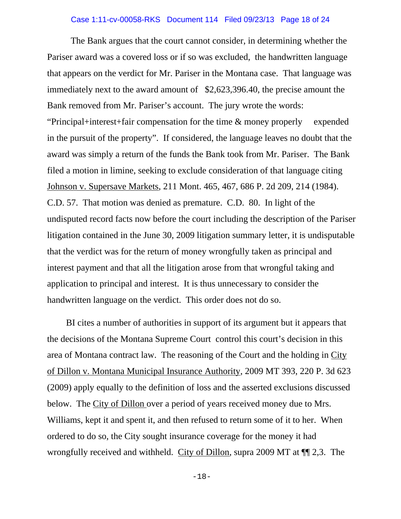#### Case 1:11-cv-00058-RKS Document 114 Filed 09/23/13 Page 18 of 24

The Bank argues that the court cannot consider, in determining whether the Pariser award was a covered loss or if so was excluded, the handwritten language that appears on the verdict for Mr. Pariser in the Montana case. That language was immediately next to the award amount of \$2,623,396.40, the precise amount the Bank removed from Mr. Pariser's account. The jury wrote the words: "Principal+interest+fair compensation for the time & money properly expended in the pursuit of the property". If considered, the language leaves no doubt that the award was simply a return of the funds the Bank took from Mr. Pariser. The Bank filed a motion in limine, seeking to exclude consideration of that language citing Johnson v. Supersave Markets, 211 Mont. 465, 467, 686 P. 2d 209, 214 (1984). C.D. 57. That motion was denied as premature. C.D. 80. In light of the undisputed record facts now before the court including the description of the Pariser litigation contained in the June 30, 2009 litigation summary letter, it is undisputable that the verdict was for the return of money wrongfully taken as principal and interest payment and that all the litigation arose from that wrongful taking and application to principal and interest. It is thus unnecessary to consider the handwritten language on the verdict. This order does not do so.

 BI cites a number of authorities in support of its argument but it appears that the decisions of the Montana Supreme Court control this court's decision in this area of Montana contract law. The reasoning of the Court and the holding in City of Dillon v. Montana Municipal Insurance Authority, 2009 MT 393, 220 P. 3d 623 (2009) apply equally to the definition of loss and the asserted exclusions discussed below. The City of Dillon over a period of years received money due to Mrs. Williams, kept it and spent it, and then refused to return some of it to her. When ordered to do so, the City sought insurance coverage for the money it had wrongfully received and withheld. City of Dillon, supra 2009 MT at ¶¶ 2,3. The

-18-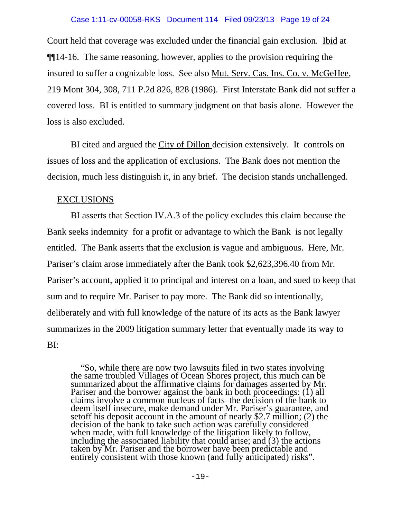#### Case 1:11-cv-00058-RKS Document 114 Filed 09/23/13 Page 19 of 24

Court held that coverage was excluded under the financial gain exclusion. Ibid at ¶¶14-16. The same reasoning, however, applies to the provision requiring the insured to suffer a cognizable loss. See also Mut. Serv. Cas. Ins. Co. v. McGeHee, 219 Mont 304, 308, 711 P.2d 826, 828 (1986). First Interstate Bank did not suffer a covered loss. BI is entitled to summary judgment on that basis alone. However the loss is also excluded.

BI cited and argued the City of Dillon decision extensively. It controls on issues of loss and the application of exclusions. The Bank does not mention the decision, much less distinguish it, in any brief. The decision stands unchallenged.

## EXCLUSIONS

BI asserts that Section IV.A.3 of the policy excludes this claim because the Bank seeks indemnity for a profit or advantage to which the Bank is not legally entitled. The Bank asserts that the exclusion is vague and ambiguous. Here, Mr. Pariser's claim arose immediately after the Bank took \$2,623,396.40 from Mr. Pariser's account, applied it to principal and interest on a loan, and sued to keep that sum and to require Mr. Pariser to pay more. The Bank did so intentionally, deliberately and with full knowledge of the nature of its acts as the Bank lawyer summarizes in the 2009 litigation summary letter that eventually made its way to BI:

"So, while there are now two lawsuits filed in two states involving the same troubled Villages of Ocean Shores project, this much can be summarized about the affirmative claims for damages asserted by Mr. Pariser and the borrower against the bank in both proceedings:  $(i)$  all claims involve a common nucleus of facts–the decision of the bank to deem itself insecure, make demand under Mr. Pariser's guarantee, and setoff his deposit account in the amount of nearly \$2.7 million; (2) the decision of the bank to take such action was carefully considered decision of the bank to take such action was carefully considered when made, with full knowledge of the litigation likely to follow, including the associated liability that could arise; and (3) the actions entirely consistent with those known (and fully anticipated) risks".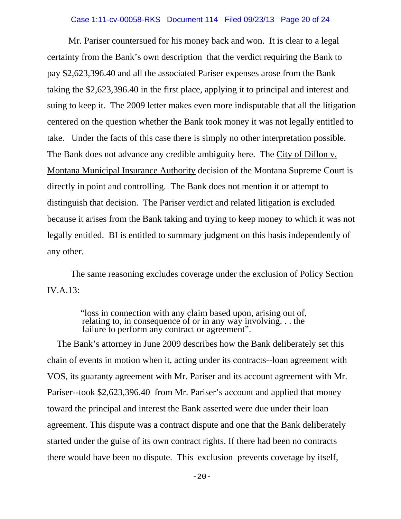## Case 1:11-cv-00058-RKS Document 114 Filed 09/23/13 Page 20 of 24

 Mr. Pariser countersued for his money back and won. It is clear to a legal certainty from the Bank's own description that the verdict requiring the Bank to pay \$2,623,396.40 and all the associated Pariser expenses arose from the Bank taking the \$2,623,396.40 in the first place, applying it to principal and interest and suing to keep it. The 2009 letter makes even more indisputable that all the litigation centered on the question whether the Bank took money it was not legally entitled to take. Under the facts of this case there is simply no other interpretation possible. The Bank does not advance any credible ambiguity here. The City of Dillon v. Montana Municipal Insurance Authority decision of the Montana Supreme Court is directly in point and controlling. The Bank does not mention it or attempt to distinguish that decision. The Pariser verdict and related litigation is excluded because it arises from the Bank taking and trying to keep money to which it was not legally entitled. BI is entitled to summary judgment on this basis independently of any other.

The same reasoning excludes coverage under the exclusion of Policy Section IV.A.13:

"loss in connection with any claim based upon, arising out of, relating to, in consequence of or in any way involving. . . the failure to perform any contract or agreement".

The Bank's attorney in June 2009 describes how the Bank deliberately set this chain of events in motion when it, acting under its contracts--loan agreement with VOS, its guaranty agreement with Mr. Pariser and its account agreement with Mr. Pariser--took \$2,623,396.40 from Mr. Pariser's account and applied that money toward the principal and interest the Bank asserted were due under their loan agreement. This dispute was a contract dispute and one that the Bank deliberately started under the guise of its own contract rights. If there had been no contracts there would have been no dispute. This exclusion prevents coverage by itself,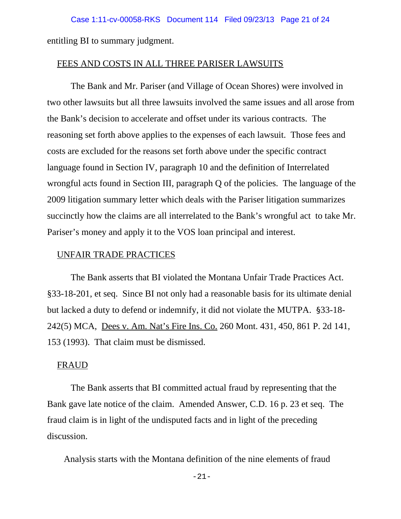entitling BI to summary judgment.

#### FEES AND COSTS IN ALL THREE PARISER LAWSUITS

The Bank and Mr. Pariser (and Village of Ocean Shores) were involved in two other lawsuits but all three lawsuits involved the same issues and all arose from the Bank's decision to accelerate and offset under its various contracts. The reasoning set forth above applies to the expenses of each lawsuit. Those fees and costs are excluded for the reasons set forth above under the specific contract language found in Section IV, paragraph 10 and the definition of Interrelated wrongful acts found in Section III, paragraph Q of the policies. The language of the 2009 litigation summary letter which deals with the Pariser litigation summarizes succinctly how the claims are all interrelated to the Bank's wrongful act to take Mr. Pariser's money and apply it to the VOS loan principal and interest.

## UNFAIR TRADE PRACTICES

The Bank asserts that BI violated the Montana Unfair Trade Practices Act. §33-18-201, et seq. Since BI not only had a reasonable basis for its ultimate denial but lacked a duty to defend or indemnify, it did not violate the MUTPA. §33-18- 242(5) MCA, Dees v. Am. Nat's Fire Ins. Co. 260 Mont. 431, 450, 861 P. 2d 141, 153 (1993). That claim must be dismissed.

## **FRAUD**

The Bank asserts that BI committed actual fraud by representing that the Bank gave late notice of the claim. Amended Answer, C.D. 16 p. 23 et seq. The fraud claim is in light of the undisputed facts and in light of the preceding discussion.

Analysis starts with the Montana definition of the nine elements of fraud

-21-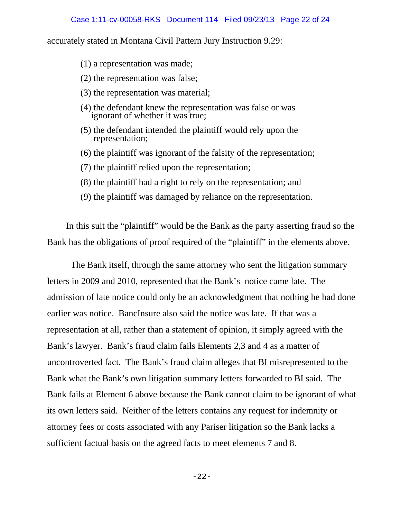accurately stated in Montana Civil Pattern Jury Instruction 9.29:

- (1) a representation was made;
- (2) the representation was false;
- (3) the representation was material;
- (4) the defendant knew the representation was false or was ignorant of whether it was true;
- (5) the defendant intended the plaintiff would rely upon the representation;
- (6) the plaintiff was ignorant of the falsity of the representation;
- (7) the plaintiff relied upon the representation;
- (8) the plaintiff had a right to rely on the representation; and
- (9) the plaintiff was damaged by reliance on the representation.

 In this suit the "plaintiff" would be the Bank as the party asserting fraud so the Bank has the obligations of proof required of the "plaintiff" in the elements above.

The Bank itself, through the same attorney who sent the litigation summary letters in 2009 and 2010, represented that the Bank's notice came late. The admission of late notice could only be an acknowledgment that nothing he had done earlier was notice. BancInsure also said the notice was late. If that was a representation at all, rather than a statement of opinion, it simply agreed with the Bank's lawyer. Bank's fraud claim fails Elements 2,3 and 4 as a matter of uncontroverted fact. The Bank's fraud claim alleges that BI misrepresented to the Bank what the Bank's own litigation summary letters forwarded to BI said. The Bank fails at Element 6 above because the Bank cannot claim to be ignorant of what its own letters said. Neither of the letters contains any request for indemnity or attorney fees or costs associated with any Pariser litigation so the Bank lacks a sufficient factual basis on the agreed facts to meet elements 7 and 8.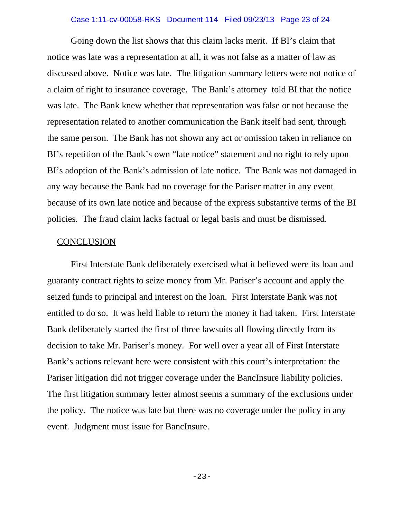## Case 1:11-cv-00058-RKS Document 114 Filed 09/23/13 Page 23 of 24

Going down the list shows that this claim lacks merit. If BI's claim that notice was late was a representation at all, it was not false as a matter of law as discussed above. Notice was late. The litigation summary letters were not notice of a claim of right to insurance coverage. The Bank's attorney told BI that the notice was late. The Bank knew whether that representation was false or not because the representation related to another communication the Bank itself had sent, through the same person. The Bank has not shown any act or omission taken in reliance on BI's repetition of the Bank's own "late notice" statement and no right to rely upon BI's adoption of the Bank's admission of late notice. The Bank was not damaged in any way because the Bank had no coverage for the Pariser matter in any event because of its own late notice and because of the express substantive terms of the BI policies. The fraud claim lacks factual or legal basis and must be dismissed.

## **CONCLUSION**

First Interstate Bank deliberately exercised what it believed were its loan and guaranty contract rights to seize money from Mr. Pariser's account and apply the seized funds to principal and interest on the loan. First Interstate Bank was not entitled to do so. It was held liable to return the money it had taken. First Interstate Bank deliberately started the first of three lawsuits all flowing directly from its decision to take Mr. Pariser's money. For well over a year all of First Interstate Bank's actions relevant here were consistent with this court's interpretation: the Pariser litigation did not trigger coverage under the BancInsure liability policies. The first litigation summary letter almost seems a summary of the exclusions under the policy. The notice was late but there was no coverage under the policy in any event. Judgment must issue for BancInsure.